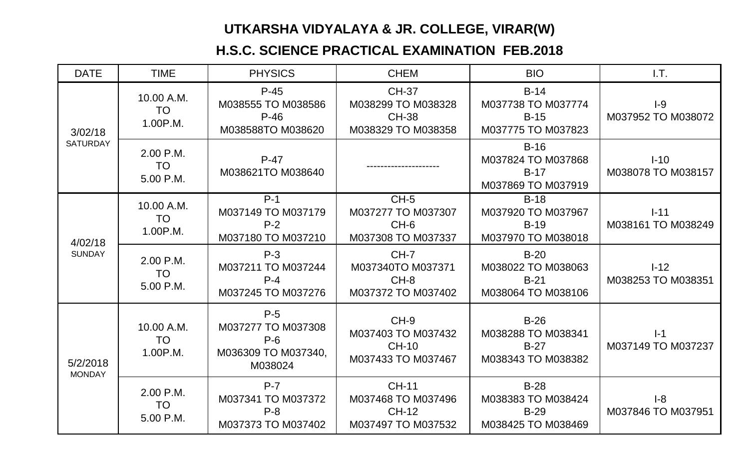## **UTKARSHA VIDYALAYA & JR. COLLEGE, VIRAR(W)**

## **H.S.C. SCIENCE PRACTICAL EXAMINATION FEB.2018**

| <b>DATE</b>                | <b>TIME</b>                         | <b>PHYSICS</b>                                                         | <b>CHEM</b>                                                              | <b>BIO</b>                                                   | 1.7.                           |
|----------------------------|-------------------------------------|------------------------------------------------------------------------|--------------------------------------------------------------------------|--------------------------------------------------------------|--------------------------------|
| 3/02/18<br><b>SATURDAY</b> | 10.00 A.M.<br><b>TO</b><br>1.00P.M. | $P-45$<br>M038555 TO M038586<br>$P-46$<br>M038588TO M038620            | <b>CH-37</b><br>M038299 TO M038328<br><b>CH-38</b><br>M038329 TO M038358 | $B-14$<br>M037738 TO M037774<br>$B-15$<br>M037775 TO M037823 | $I-9$<br>M037952 TO M038072    |
|                            | 2.00 P.M.<br><b>TO</b><br>5.00 P.M. | $P-47$<br>M038621TO M038640                                            |                                                                          | $B-16$<br>M037824 TO M037868<br>$B-17$<br>M037869 TO M037919 | $I-10$<br>M038078 TO M038157   |
| 4/02/18<br><b>SUNDAY</b>   | 10.00 A.M.<br><b>TO</b><br>1.00P.M. | $P-1$<br>M037149 TO M037179<br>$P-2$<br>M037180 TO M037210             | $CH-5$<br>M037277 TO M037307<br>$CH-6$<br>M037308 TO M037337             | $B-18$<br>M037920 TO M037967<br>$B-19$<br>M037970 TO M038018 | $1 - 11$<br>M038161 TO M038249 |
|                            | 2.00 P.M.<br><b>TO</b><br>5.00 P.M. | $P-3$<br>M037211 TO M037244<br>$P - 4$<br>M037245 TO M037276           | $CH-7$<br>M037340TO M037371<br>$CH-8$<br>M037372 TO M037402              | $B-20$<br>M038022 TO M038063<br>$B-21$<br>M038064 TO M038106 | $I-12$<br>M038253 TO M038351   |
| 5/2/2018<br><b>MONDAY</b>  | 10.00 A.M.<br><b>TO</b><br>1.00P.M. | $P-5$<br>M037277 TO M037308<br>$P-6$<br>M036309 TO M037340,<br>M038024 | $CH-9$<br>M037403 TO M037432<br><b>CH-10</b><br>M037433 TO M037467       | $B-26$<br>M038288 TO M038341<br>$B-27$<br>M038343 TO M038382 | $I-1$<br>M037149 TO M037237    |
|                            | 2.00 P.M.<br><b>TO</b><br>5.00 P.M. | $P-7$<br>M037341 TO M037372<br>$P - 8$<br>M037373 TO M037402           | <b>CH-11</b><br>M037468 TO M037496<br><b>CH-12</b><br>M037497 TO M037532 | $B-28$<br>M038383 TO M038424<br>$B-29$<br>M038425 TO M038469 | $I-8$<br>M037846 TO M037951    |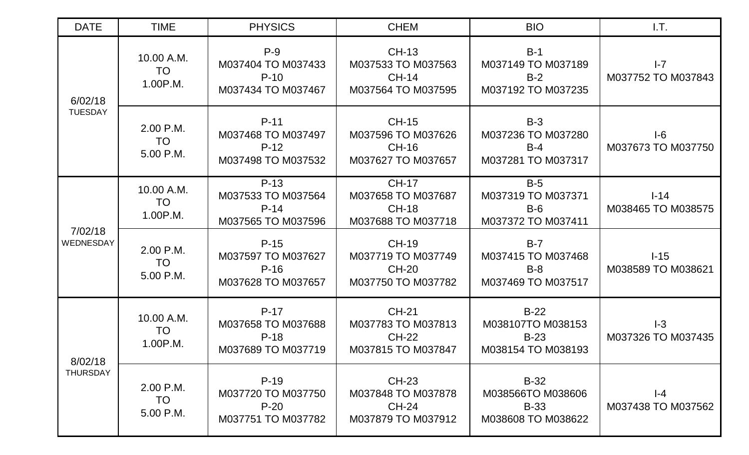| <b>DATE</b>                 | <b>TIME</b>                         | <b>PHYSICS</b>                                               | <b>CHEM</b>                                                              | <b>BIO</b>                                                       | LT.                           |
|-----------------------------|-------------------------------------|--------------------------------------------------------------|--------------------------------------------------------------------------|------------------------------------------------------------------|-------------------------------|
| 6/02/18<br><b>TUESDAY</b>   | 10.00 A.M.<br><b>TO</b><br>1.00P.M. | $P-9$<br>M037404 TO M037433<br>$P-10$<br>M037434 TO M037467  | <b>CH-13</b><br>M037533 TO M037563<br><b>CH-14</b><br>M037564 TO M037595 | $B-1$<br>M037149 TO M037189<br>$B-2$<br>M037192 TO M037235       | $I - 7$<br>M037752 TO M037843 |
|                             | 2.00 P.M.<br><b>TO</b><br>5.00 P.M. | $P-11$<br>M037468 TO M037497<br>$P-12$<br>M037498 TO M037532 | <b>CH-15</b><br>M037596 TO M037626<br><b>CH-16</b><br>M037627 TO M037657 | $B-3$<br>M037236 TO M037280<br>$B-4$<br>M037281 TO M037317       | $I-6$<br>M037673 TO M037750   |
| 7/02/18<br><b>WEDNESDAY</b> | 10.00 A.M.<br>TO<br>1.00P.M.        | $P-13$<br>M037533 TO M037564<br>$P-14$<br>M037565 TO M037596 | <b>CH-17</b><br>M037658 TO M037687<br><b>CH-18</b><br>M037688 TO M037718 | $B-5$<br>M037319 TO M037371<br>$B-6$<br>M037372 TO M037411       | $I-14$<br>M038465 TO M038575  |
|                             | 2.00 P.M.<br><b>TO</b><br>5.00 P.M. | $P-15$<br>M037597 TO M037627<br>$P-16$<br>M037628 TO M037657 | <b>CH-19</b><br>M037719 TO M037749<br><b>CH-20</b><br>M037750 TO M037782 | $B-7$<br>M037415 TO M037468<br>$B-8$<br>M037469 TO M037517       | $I-15$<br>M038589 TO M038621  |
| 8/02/18<br><b>THURSDAY</b>  | 10.00 A.M.<br><b>TO</b><br>1.00P.M. | $P-17$<br>M037658 TO M037688<br>$P-18$<br>M037689 TO M037719 | <b>CH-21</b><br>M037783 TO M037813<br><b>CH-22</b><br>M037815 TO M037847 | $B-22$<br>M038107TO M038153<br>$B-23$<br>M038154 TO M038193      | $I-3$<br>M037326 TO M037435   |
|                             | 2.00 P.M.<br><b>TO</b><br>5.00 P.M. | $P-19$<br>M037720 TO M037750<br>$P-20$<br>M037751 TO M037782 | <b>CH-23</b><br>M037848 TO M037878<br><b>CH-24</b><br>M037879 TO M037912 | $B-32$<br>M038566TO M038606<br><b>B-33</b><br>M038608 TO M038622 | $I-4$<br>M037438 TO M037562   |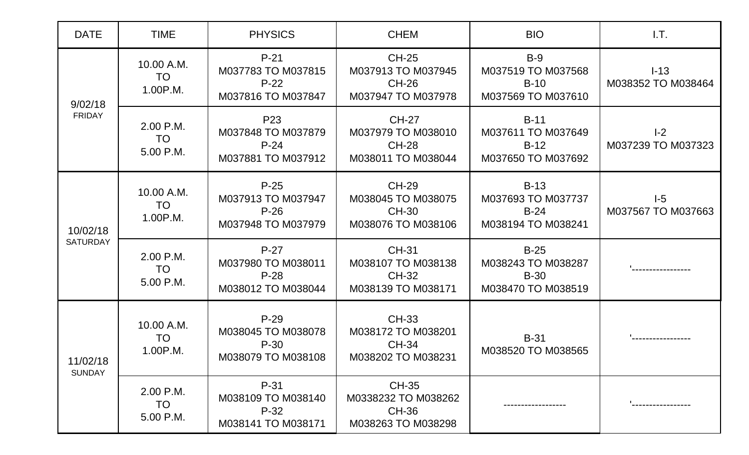| <b>DATE</b>                 | <b>TIME</b>                         | <b>PHYSICS</b>                                                        | <b>CHEM</b>                                                               | <b>BIO</b>                                                        | I.T.                         |
|-----------------------------|-------------------------------------|-----------------------------------------------------------------------|---------------------------------------------------------------------------|-------------------------------------------------------------------|------------------------------|
| 9/02/18<br><b>FRIDAY</b>    | 10.00 A.M.<br><b>TO</b><br>1.00P.M. | $P-21$<br>M037783 TO M037815<br>$P-22$<br>M037816 TO M037847          | <b>CH-25</b><br>M037913 TO M037945<br><b>CH-26</b><br>M037947 TO M037978  | $B-9$<br>M037519 TO M037568<br>$B-10$<br>M037569 TO M037610       | $I-13$<br>M038352 TO M038464 |
|                             | 2.00 P.M.<br><b>TO</b><br>5.00 P.M. | P <sub>23</sub><br>M037848 TO M037879<br>$P-24$<br>M037881 TO M037912 | <b>CH-27</b><br>M037979 TO M038010<br><b>CH-28</b><br>M038011 TO M038044  | $B-11$<br>M037611 TO M037649<br>$B-12$<br>M037650 TO M037692      | $I-2$<br>M037239 TO M037323  |
| 10/02/18<br><b>SATURDAY</b> | 10.00 A.M.<br><b>TO</b><br>1.00P.M. | $P-25$<br>M037913 TO M037947<br>$P-26$<br>M037948 TO M037979          | <b>CH-29</b><br>M038045 TO M038075<br><b>CH-30</b><br>M038076 TO M038106  | $B-13$<br>M037693 TO M037737<br>$B-24$<br>M038194 TO M038241      | $I-5$<br>M037567 TO M037663  |
|                             | 2.00 P.M.<br><b>TO</b><br>5.00 P.M. | $P-27$<br>M037980 TO M038011<br>$P-28$<br>M038012 TO M038044          | <b>CH-31</b><br>M038107 TO M038138<br><b>CH-32</b><br>M038139 TO M038171  | $B-25$<br>M038243 TO M038287<br><b>B-30</b><br>M038470 TO M038519 |                              |
| 11/02/18<br><b>SUNDAY</b>   | 10.00 A.M.<br><b>TO</b><br>1.00P.M. | $P-29$<br>M038045 TO M038078<br>P-30<br>M038079 TO M038108            | <b>CH-33</b><br>M038172 TO M038201<br><b>CH-34</b><br>M038202 TO M038231  | $B-31$<br>M038520 TO M038565                                      |                              |
|                             | 2.00 P.M.<br><b>TO</b><br>5.00 P.M. | P-31<br>M038109 TO M038140<br>$P-32$<br>M038141 TO M038171            | <b>CH-35</b><br>M0338232 TO M038262<br><b>CH-36</b><br>M038263 TO M038298 |                                                                   |                              |